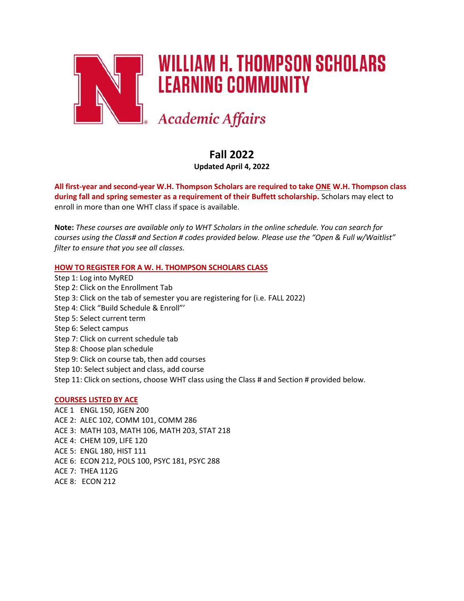

# **WILLIAM H. THOMPSON SCHOLARS LEARNING COMMUNITY**

**Academic Affairs** 

# **Fall 2022**

**Updated April 4, 2022**

**All first-year and second-year W.H. Thompson Scholars are required to take ONE W.H. Thompson class during fall and spring semester as a requirement of their Buffett scholarship.** Scholars may elect to enroll in more than one WHT class if space is available.

**Note:** *These courses are available only to WHT Scholars in the online schedule. You can search for courses using the Class# and Section # codes provided below. Please use the "Open & Full w/Waitlist" filter to ensure that you see all classes.*

# **HOW TO REGISTER FOR A W. H. THOMPSON SCHOLARS CLASS**

Step 1: Log into MyRED Step 2: Click on the Enrollment Tab Step 3: Click on the tab of semester you are registering for (i.e. FALL 2022) Step 4: Click "Build Schedule & Enroll"' Step 5: Select current term Step 6: Select campus Step 7: Click on current schedule tab Step 8: Choose plan schedule Step 9: Click on course tab, then add courses Step 10: Select subject and class, add course Step 11: Click on sections, choose WHT class using the Class # and Section # provided below.

#### **COURSES LISTED BY ACE**

ACE 1: ENGL 150, JGEN 200 ACE 2: ALEC 102, COMM 101, COMM 286 ACE 3: MATH 103, MATH 106, MATH 203, STAT 218 ACE 4: CHEM 109, LIFE 120 ACE 5: ENGL 180, HIST 111 ACE 6: ECON 212, POLS 100, PSYC 181, PSYC 288 ACE 7: THEA 112G ACE 8: ECON 212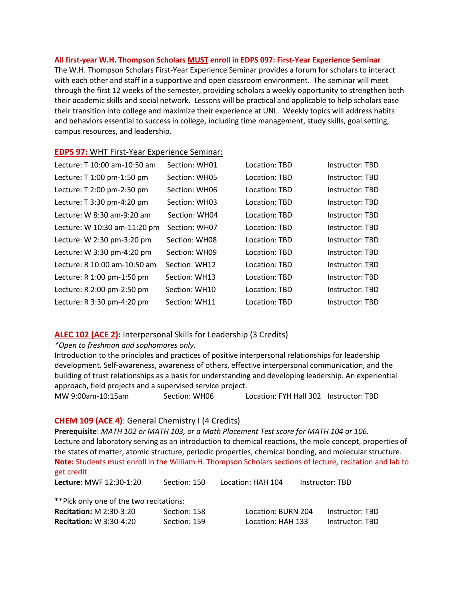#### **All first-year W.H. Thompson Scholars MUST enroll in EDPS 097: First-Year Experience Seminar**

The W.H. Thompson Scholars First-Year Experience Seminar provides a forum for scholars to interact with each other and staff in a supportive and open classroom environment. The seminar will meet through the first 12 weeks of the semester, providing scholars a weekly opportunity to strengthen both their academic skills and social network. Lessons will be practical and applicable to help scholars ease their transition into college and maximize their experience at UNL. Weekly topics will address habits and behaviors essential to success in college, including time management, study skills, goal setting, campus resources, and leadership.

#### **EDPS 97:** WHT First-Year Experience Seminar:

| Lecture: T 10:00 am-10:50 am | Section: WH01 | Location: TBD | Instructor: TBD |
|------------------------------|---------------|---------------|-----------------|
| Lecture: T 1:00 pm-1:50 pm   | Section: WH05 | Location: TBD | Instructor: TBD |
| Lecture: T 2:00 pm-2:50 pm   | Section: WH06 | Location: TBD | Instructor: TBD |
| Lecture: T 3:30 pm-4:20 pm   | Section: WH03 | Location: TBD | Instructor: TBD |
| Lecture: W 8:30 am-9:20 am   | Section: WH04 | Location: TBD | Instructor: TBD |
| Lecture: W 10:30 am-11:20 pm | Section: WH07 | Location: TBD | Instructor: TBD |
| Lecture: W 2:30 pm-3:20 pm   | Section: WH08 | Location: TBD | Instructor: TBD |
| Lecture: W 3:30 pm-4:20 pm   | Section: WH09 | Location: TBD | Instructor: TBD |
| Lecture: R 10:00 am-10:50 am | Section: WH12 | Location: TBD | Instructor: TBD |
| Lecture: R 1:00 pm-1:50 pm   | Section: WH13 | Location: TBD | Instructor: TBD |
| Lecture: R 2:00 pm-2:50 pm   | Section: WH10 | Location: TBD | Instructor: TBD |
| Lecture: R 3:30 pm-4:20 pm   | Section: WH11 | Location: TBD | Instructor: TBD |

# **ALEC 102 (ACE 2):** Interpersonal Skills for Leadership (3 Credits)

#### *\*Open to freshman and sophomores only.*

Introduction to the principles and practices of positive interpersonal relationships for leadership development. Self-awareness, awareness of others, effective interpersonal communication, and the building of trust relationships as a basis for understanding and developing leadership. An experiential approach, field projects and a supervised service project.

MW 9:00am-10:15am Section: WH06 Location: FYH Hall 302 Instructor: TBD

#### **CHEM 109 (ACE 4)**: General Chemistry I (4 Credits)

**Prerequisite**: *MATH 102 or MATH 103, or a Math Placement Test score for MATH 104 or 106.* Lecture and laboratory serving as an introduction to chemical reactions, the mole concept, properties of the states of matter, atomic structure, periodic properties, chemical bonding, and molecular structure. **Note:** Students must enroll in the William H. Thompson Scholars sections of lecture, recitation and lab to get credit.

**Lecture:** MWF 12:30-1:20 Section: 150 Location: HAH 104 Instructor: TBD

\*\*Pick only one of the two recitations:

| <b>Recitation: M 2:30-3:20</b> | Section: 158 | Location: BURN 204 | Instructor: TBD |
|--------------------------------|--------------|--------------------|-----------------|
| <b>Recitation: W 3:30-4:20</b> | Section: 159 | Location: HAH 133  | Instructor: TBD |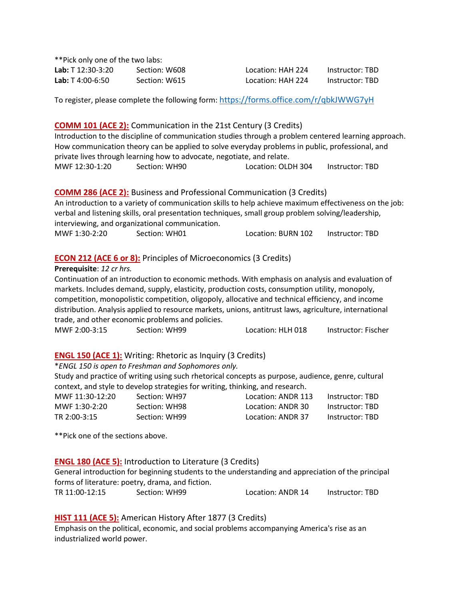\*\*Pick only one of the two labs:

**Lab:** T 12:30-3:20 Section: W608 Location: HAH 224 Instructor: TBD **Lab:** T 4:00-6:50 Section: W615 Location: HAH 224 Instructor: TBD

To register, please complete the following form: <https://forms.office.com/r/qbkJWWG7yH>

### **COMM 101 (ACE 2):** Communication in the 21st Century (3 Credits)

Introduction to the discipline of communication studies through a problem centered learning approach. How communication theory can be applied to solve everyday problems in public, professional, and private lives through learning how to advocate, negotiate, and relate. MWF 12:30-1:20 Section: WH90 Location: OLDH 304 Instructor: TBD

**COMM 286 (ACE 2):** Business and Professional Communication (3 Credits) An introduction to a variety of communication skills to help achieve maximum effectiveness on the job: verbal and listening skills, oral presentation techniques, small group problem solving/leadership, interviewing, and organizational communication. MWF 1:30-2:20 Section: WH01 Location: BURN 102 Instructor: TBD

# **ECON 212 (ACE 6 or 8):** Principles of Microeconomics (3 Credits)

**Prerequisite**: *12 cr hrs.*

Continuation of an introduction to economic methods. With emphasis on analysis and evaluation of markets. Includes demand, supply, elasticity, production costs, consumption utility, monopoly, competition, monopolistic competition, oligopoly, allocative and technical efficiency, and income distribution. Analysis applied to resource markets, unions, antitrust laws, agriculture, international trade, and other economic problems and policies.

MWF 2:00-3:15 Section: WH99 Location: HLH 018 Instructor: Fischer

#### **ENGL 150 (ACE 1):** Writing: Rhetoric as Inquiry (3 Credits)

#### \**ENGL 150 is open to Freshman and Sophomores only.*

Study and practice of writing using such rhetorical concepts as purpose, audience, genre, cultural context, and style to develop strategies for writing, thinking, and research.

| MWF 11:30-12:20 | Section: WH97 | Location: ANDR 113 | Instructor: TBD |
|-----------------|---------------|--------------------|-----------------|
| MWF 1:30-2:20   | Section: WH98 | Location: ANDR 30  | Instructor: TBD |
| TR 2:00-3:15    | Section: WH99 | Location: ANDR 37  | Instructor: TBD |

\*\*Pick one of the sections above.

#### **ENGL 180 (ACE 5):** Introduction to Literature (3 Credits)

General introduction for beginning students to the understanding and appreciation of the principal forms of literature: poetry, drama, and fiction.

TR 11:00-12:15 Section: WH99 Location: ANDR 14 Instructor: TBD

#### **HIST 111 (ACE 5):** American History After 1877 (3 Credits)

Emphasis on the political, economic, and social problems accompanying America's rise as an industrialized world power.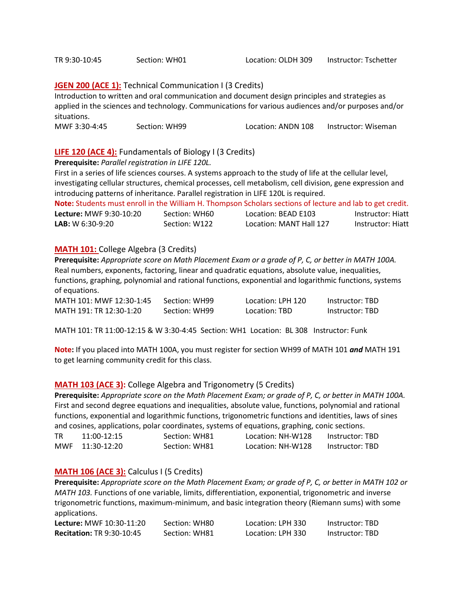# **JGEN 200 (ACE 1):** Technical Communication I (3 Credits)

Introduction to written and oral communication and document design principles and strategies as applied in the sciences and technology. Communications for various audiences and/or purposes and/or situations.

MWF 3:30-4:45 Section: WH99 Location: ANDN 108 Instructor: Wiseman

# **LIFE 120 (ACE 4):** Fundamentals of Biology I (3 Credits)

**Prerequisite:** *Parallel registration in LIFE 120L.*

First in a series of life sciences courses. A systems approach to the study of life at the cellular level, investigating cellular structures, chemical processes, cell metabolism, cell division, gene expression and introducing patterns of inheritance. Parallel registration in LIFE 120L is required.

**Note:** Students must enroll in the William H. Thompson Scholars sections of lecture and lab to get credit.

| <b>Lecture: MWF 9:30-10:20</b> | Section: WH60 | Location: BEAD E103     | Instructor: Hiatt |
|--------------------------------|---------------|-------------------------|-------------------|
| $LAB: W 6:30-9:20$             | Section: W122 | Location: MANT Hall 127 | Instructor: Hiatt |

#### **MATH 101:** College Algebra (3 Credits)

**Prerequisite:** *Appropriate score on Math Placement Exam or a grade of P, C, or better in MATH 100A.* Real numbers, exponents, factoring, linear and quadratic equations, absolute value, inequalities, functions, graphing, polynomial and rational functions, exponential and logarithmic functions, systems of equations.

| MATH 101: MWF 12:30-1:45 | Section: WH99 | Location: LPH 120 | Instructor: TBD |
|--------------------------|---------------|-------------------|-----------------|
| MATH 191: TR 12:30-1:20  | Section: WH99 | Location: TBD     | Instructor: TBD |

MATH 101: TR 11:00-12:15 & W 3:30-4:45 Section: WH1 Location: BL 308 Instructor: Funk

**Note:** If you placed into MATH 100A, you must register for section WH99 of MATH 101 *and* MATH 191 to get learning community credit for this class.

#### **MATH 103 (ACE 3):** College Algebra and Trigonometry (5 Credits)

**Prerequisite:** *Appropriate score on the Math Placement Exam; or grade of P, C, or better in MATH 100A.* First and second degree equations and inequalities, absolute value, functions, polynomial and rational functions, exponential and logarithmic functions, trigonometric functions and identities, laws of sines and cosines, applications, polar coordinates, systems of equations, graphing, conic sections.

| $11:00-12:15$   | Section: WH81 | Location: NH-W128 | Instructor: TBD |
|-----------------|---------------|-------------------|-----------------|
| MWF 11:30-12:20 | Section: WH81 | Location: NH-W128 | Instructor: TBD |

#### **MATH 106 (ACE 3):** Calculus I (5 Credits)

**Prerequisite:** *Appropriate score on the Math Placement Exam; or grade of P, C, or better in MATH 102 or MATH 103.* Functions of one variable, limits, differentiation, exponential, trigonometric and inverse trigonometric functions, maximum-minimum, and basic integration theory (Riemann sums) with some applications.

| <b>Lecture: MWF 10:30-11:20</b>  | Section: WH80 | Location: LPH 330 | Instructor: TBD |
|----------------------------------|---------------|-------------------|-----------------|
| <b>Recitation: TR 9:30-10:45</b> | Section: WH81 | Location: LPH 330 | Instructor: TBD |